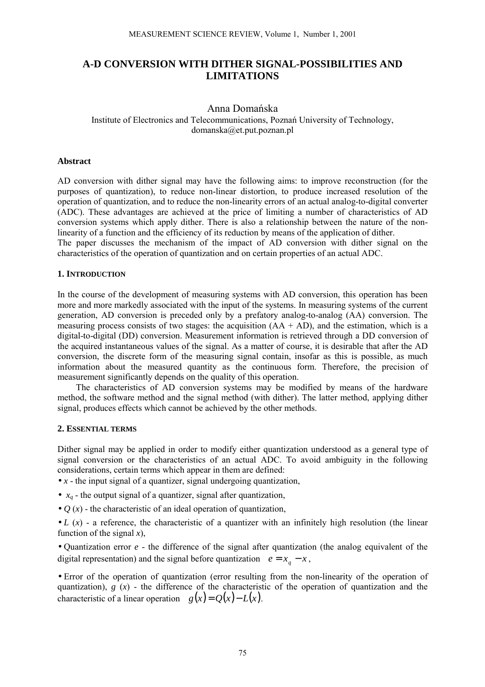# **A-D CONVERSION WITH DITHER SIGNAL-POSSIBILITIES AND LIMITATIONS**

## Anna Domańska Institute of Electronics and Telecommunications, Poznań University of Technology, domanska@et.put.poznan.pl

#### **Abstract**

AD conversion with dither signal may have the following aims: to improve reconstruction (for the purposes of quantization), to reduce non-linear distortion, to produce increased resolution of the operation of quantization, and to reduce the non-linearity errors of an actual analog-to-digital converter (ADC). These advantages are achieved at the price of limiting a number of characteristics of AD conversion systems which apply dither. There is also a relationship between the nature of the nonlinearity of a function and the efficiency of its reduction by means of the application of dither. The paper discusses the mechanism of the impact of AD conversion with dither signal on the

characteristics of the operation of quantization and on certain properties of an actual ADC.

## **1. INTRODUCTION**

In the course of the development of measuring systems with AD conversion, this operation has been more and more markedly associated with the input of the systems. In measuring systems of the current generation, AD conversion is preceded only by a prefatory analog-to-analog (AA) conversion. The measuring process consists of two stages: the acquisition  $(AA + AD)$ , and the estimation, which is a digital-to-digital (DD) conversion. Measurement information is retrieved through a DD conversion of the acquired instantaneous values of the signal. As a matter of course, it is desirable that after the AD conversion, the discrete form of the measuring signal contain, insofar as this is possible, as much information about the measured quantity as the continuous form. Therefore, the precision of measurement significantly depends on the quality of this operation.

The characteristics of AD conversion systems may be modified by means of the hardware method, the software method and the signal method (with dither). The latter method, applying dither signal, produces effects which cannot be achieved by the other methods.

## **2. ESSENTIAL TERMS**

Dither signal may be applied in order to modify either quantization understood as a general type of signal conversion or the characteristics of an actual ADC. To avoid ambiguity in the following considerations, certain terms which appear in them are defined:

•  $x$  - the input signal of a quantizer, signal undergoing quantization,

- $x_a$  the output signal of a quantizer, signal after quantization,
- $Q(x)$  the characteristic of an ideal operation of quantization,

•  $L(x)$  - a reference, the characteristic of a quantizer with an infinitely high resolution (the linear function of the signal  $x$ ).

• Quantization error *e* - the difference of the signal after quantization (the analog equivalent of the digital representation) and the signal before quantization  $e = x_a - x$ ,

• Error of the operation of quantization (error resulting from the non-linearity of the operation of quantization),  $g(x)$  - the difference of the characteristic of the operation of quantization and the characteristic of a linear operation  $g(x) = O(x) - L(x)$ .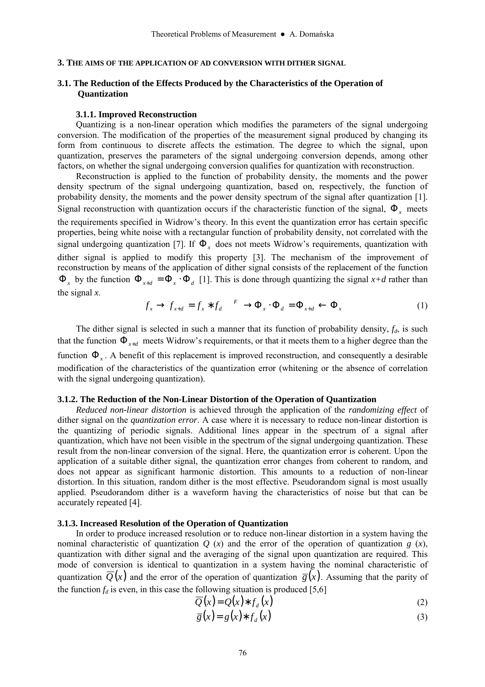### **3. THE AIMS OF THE APPLICATION OF AD CONVERSION WITH DITHER SIGNAL**

## **3.1. The Reduction of the Effects Produced by the Characteristics of the Operation of Quantization**

#### **3.1.1. Improved Reconstruction**

Quantizing is a non-linear operation which modifies the parameters of the signal undergoing conversion. The modification of the properties of the measurement signal produced by changing its form from continuous to discrete affects the estimation. The degree to which the signal, upon quantization, preserves the parameters of the signal undergoing conversion depends, among other factors, on whether the signal undergoing conversion qualifies for quantization with reconstruction.

Reconstruction is applied to the function of probability density, the moments and the power density spectrum of the signal undergoing quantization, based on, respectively, the function of probability density, the moments and the power density spectrum of the signal after quantization [1]. Signal reconstruction with quantization occurs if the characteristic function of the signal, Φ*x* meets the requirements specified in Widrow's theory. In this event the quantization error has certain specific properties, being white noise with a rectangular function of probability density, not correlated with the signal undergoing quantization [7]. If  $\Phi_x$  does not meets Widrow's requirements, quantization with dither signal is applied to modify this property [3]. The mechanism of the improvement of reconstruction by means of the application of dither signal consists of the replacement of the function  $\Phi_x$  by the function  $\Phi_{x+d} = \Phi_x \cdot \Phi_d$  [1]. This is done through quantizing the signal  $x+d$  rather than the signal *x*.

$$
f_x \to f_{x+d} = f_x * f_d \xrightarrow{F} \Phi_x \cdot \Phi_d = \Phi_{x+d} \leftarrow \Phi_x \tag{1}
$$

The dither signal is selected in such a manner that its function of probability density,  $f<sub>d</sub>$ , is such that the function  $\Phi_{x+d}$  meets Widrow's requirements, or that it meets them to a higher degree than the function Φ*<sup>x</sup>* . A benefit of this replacement is improved reconstruction, and consequently a desirable modification of the characteristics of the quantization error (whitening or the absence of correlation with the signal undergoing quantization).

#### **3.1.2. The Reduction of the Non-Linear Distortion of the Operation of Quantization**

*Reduced non-linear distortion* is achieved through the application of the *randomizing effect* of dither signal on the *quantization error*. A case where it is necessary to reduce non-linear distortion is the quantizing of periodic signals. Additional lines appear in the spectrum of a signal after quantization, which have not been visible in the spectrum of the signal undergoing quantization. These result from the non-linear conversion of the signal. Here, the quantization error is coherent. Upon the application of a suitable dither signal, the quantization error changes from coherent to random, and does not appear as significant harmonic distortion. This amounts to a reduction of non-linear distortion. In this situation, random dither is the most effective. Pseudorandom signal is most usually applied. Pseudorandom dither is a waveform having the characteristics of noise but that can be accurately repeated [4].

### **3.1.3. Increased Resolution of the Operation of Quantization**

In order to produce increased resolution or to reduce non-linear distortion in a system having the nominal characteristic of quantization  $Q(x)$  and the error of the operation of quantization  $g(x)$ , quantization with dither signal and the averaging of the signal upon quantization are required. This mode of conversion is identical to quantization in a system having the nominal characteristic of quantization  $\overline{Q}(x)$  and the error of the operation of quantization  $\overline{g}(x)$ . Assuming that the parity of the function  $f_d$  is even, in this case the following situation is produced [5,6]

$$
\overline{Q}(x) = Q(x) * f_d(x) \tag{2}
$$

$$
\overline{g}(x) = g(x) * f_d(x) \tag{3}
$$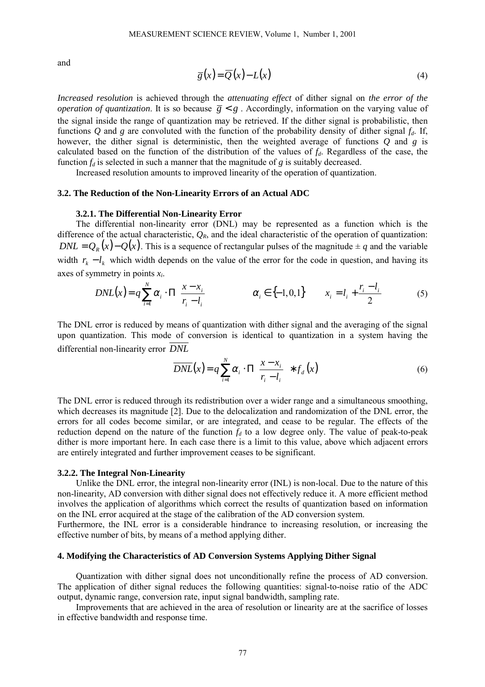and

$$
\overline{g}(x) = \overline{Q}(x) - L(x) \tag{4}
$$

*Increased resolution* is achieved through the *attenuating effect* of dither signal on *the error of the operation of quantization*. It is so because  $\overline{g} < g$ . Accordingly, information on the varying value of the signal inside the range of quantization may be retrieved. If the dither signal is probabilistic, then functions  $Q$  and  $g$  are convoluted with the function of the probability density of dither signal  $f_d$ . If, however, the dither signal is deterministic, then the weighted average of functions *Q* and *g* is calculated based on the function of the distribution of the values of *fd*. Regardless of the case, the function  $f_d$  is selected in such a manner that the magnitude of  $g$  is suitably decreased.

Increased resolution amounts to improved linearity of the operation of quantization.

### **3.2. The Reduction of the Non-Linearity Errors of an Actual ADC**

### **3.2.1. The Differential Non-Linearity Error**

The differential non-linearity error (DNL) may be represented as a function which is the difference of the actual characteristic,  $Q_R$ , and the ideal characteristic of the operation of quantization: *DNL* =  $Q<sub>p</sub>(x) - Q(x)$ . This is a sequence of rectangular pulses of the magnitude  $\pm q$  and the variable width  $r_k - l_k$  which width depends on the value of the error for the code in question, and having its axes of symmetry in points *xi*.

$$
DNL(x) = q \sum_{i=1}^{N} \alpha_i \cdot \Pi \left( \frac{x - x_i}{r_i - l_i} \right) \qquad \alpha_i \in \{-1, 0, 1\} \qquad x_i = l_i + \frac{r_i - l_i}{2} \tag{5}
$$

The DNL error is reduced by means of quantization with dither signal and the averaging of the signal upon quantization. This mode of conversion is identical to quantization in a system having the differential non-linearity error *DNL*

$$
\overline{DNL}(x) = q \sum_{i=1}^{N} \alpha_i \cdot \Pi \left( \frac{x - x_i}{r_i - l_i} \right) * f_d(x) \tag{6}
$$

The DNL error is reduced through its redistribution over a wider range and a simultaneous smoothing, which decreases its magnitude [2]. Due to the delocalization and randomization of the DNL error, the errors for all codes become similar, or are integrated, and cease to be regular. The effects of the reduction depend on the nature of the function  $f_d$  to a low degree only. The value of peak-to-peak dither is more important here. In each case there is a limit to this value, above which adjacent errors are entirely integrated and further improvement ceases to be significant.

#### **3.2.2. The Integral Non-Linearity**

Unlike the DNL error, the integral non-linearity error (INL) is non-local. Due to the nature of this non-linearity, AD conversion with dither signal does not effectively reduce it. A more efficient method involves the application of algorithms which correct the results of quantization based on information on the INL error acquired at the stage of the calibration of the AD conversion system.

Furthermore, the INL error is a considerable hindrance to increasing resolution, or increasing the effective number of bits, by means of a method applying dither.

#### **4. Modifying the Characteristics of AD Conversion Systems Applying Dither Signal**

Quantization with dither signal does not unconditionally refine the process of AD conversion. The application of dither signal reduces the following quantities: signal-to-noise ratio of the ADC output, dynamic range, conversion rate, input signal bandwidth, sampling rate.

Improvements that are achieved in the area of resolution or linearity are at the sacrifice of losses in effective bandwidth and response time.